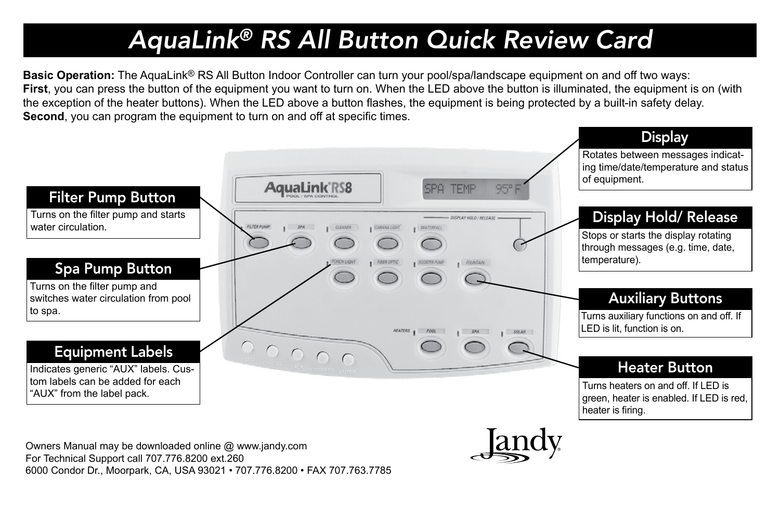## *AquaLink® RS All Button Quick Review Card*

**Basic Operation:** The AquaLink® RS All Button Indoor Controller can turn your pool/spa/landscape equipment on and off two ways: **First**, you can press the button of the equipment you want to turn on. When the LED above the button is illuminated, the equipment is on (with the exception of the heater buttons). When the LED above a button flashes, the equipment is being protected by a built-in safety delay. **Second**, you can program the equipment to turn on and off at specific times.



Owners Manual may be downloaded online @ www.jandy.com For Technical Support call 707.776.8200 ext.260 6000 Condor Dr., Moorpark, CA, USA 93021 • 707.776.8200 • FAX 707.763.7785